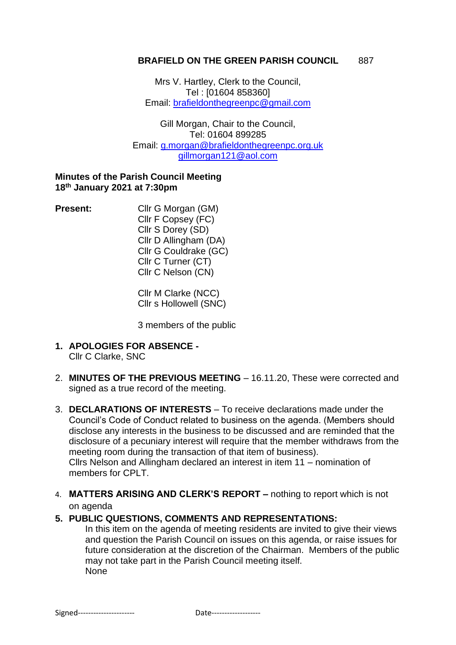#### **BRAFIELD ON THE GREEN PARISH COUNCIL 887**

Mrs V. Hartley, Clerk to the Council, Tel : [01604 858360] Email: [brafieldonthegreenpc@gmail.com](mailto:brafieldonthegreenpc@gmail.com)

Gill Morgan, Chair to the Council, Tel: 01604 899285 Email: g.morgan@brafieldonthegreenpc.org.uk [gillmorgan121@aol.com](mailto:gillmorgan121@aol.com)

#### **Minutes of the Parish Council Meeting 18 th January 2021 at 7:30pm**

**Present:** Cllr G Morgan (GM) Cllr F Copsey (FC) Cllr S Dorey (SD) Cllr D Allingham (DA) Cllr G Couldrake (GC) Cllr C Turner (CT) Cllr C Nelson (CN)

> Cllr M Clarke (NCC) Cllr s Hollowell (SNC)

3 members of the public

- **1. APOLOGIES FOR ABSENCE -** Cllr C Clarke, SNC
- 2. **MINUTES OF THE PREVIOUS MEETING** 16.11.20, These were corrected and signed as a true record of the meeting.
- 3. **DECLARATIONS OF INTERESTS** To receive declarations made under the Council's Code of Conduct related to business on the agenda. (Members should disclose any interests in the business to be discussed and are reminded that the disclosure of a pecuniary interest will require that the member withdraws from the meeting room during the transaction of that item of business). Cllrs Nelson and Allingham declared an interest in item 11 – nomination of members for CPLT.
- 4. **MATTERS ARISING AND CLERK'S REPORT –** nothing to report which is not on agenda

### **5. PUBLIC QUESTIONS, COMMENTS AND REPRESENTATIONS:**

In this item on the agenda of meeting residents are invited to give their views and question the Parish Council on issues on this agenda, or raise issues for future consideration at the discretion of the Chairman. Members of the public may not take part in the Parish Council meeting itself. None

Signed---------------------- Date-------------------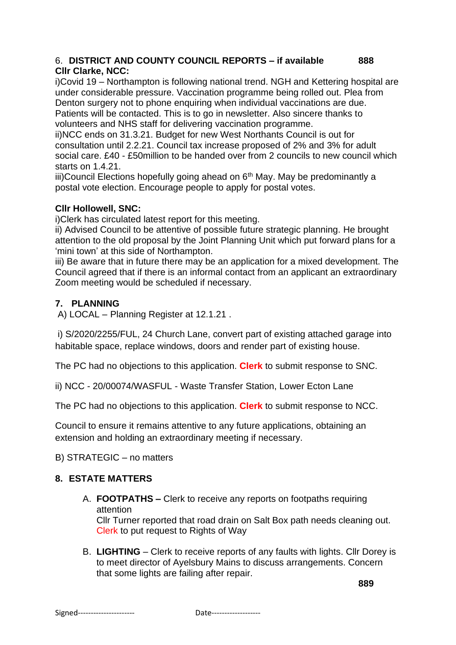### 6. **DISTRICT AND COUNTY COUNCIL REPORTS – if available 888 Cllr Clarke, NCC:**

i)Covid 19 – Northampton is following national trend. NGH and Kettering hospital are under considerable pressure. Vaccination programme being rolled out. Plea from Denton surgery not to phone enquiring when individual vaccinations are due. Patients will be contacted. This is to go in newsletter. Also sincere thanks to

volunteers and NHS staff for delivering vaccination programme.

ii)NCC ends on 31.3.21. Budget for new West Northants Council is out for consultation until 2.2.21. Council tax increase proposed of 2% and 3% for adult social care. £40 - £50million to be handed over from 2 councils to new council which starts on 1.4.21.

 $iii)$ Council Elections hopefully going ahead on  $6<sup>th</sup>$  May. May be predominantly a postal vote election. Encourage people to apply for postal votes.

### **Cllr Hollowell, SNC:**

i)Clerk has circulated latest report for this meeting.

ii) Advised Council to be attentive of possible future strategic planning. He brought attention to the old proposal by the Joint Planning Unit which put forward plans for a 'mini town' at this side of Northampton.

iii) Be aware that in future there may be an application for a mixed development. The Council agreed that if there is an informal contact from an applicant an extraordinary Zoom meeting would be scheduled if necessary.

# **7. PLANNING**

A) LOCAL – Planning Register at 12.1.21 .

i) S/2020/2255/FUL, 24 Church Lane, convert part of existing attached garage into habitable space, replace windows, doors and render part of existing house.

The PC had no objections to this application. **Clerk** to submit response to SNC.

ii) NCC - 20/00074/WASFUL - Waste Transfer Station, Lower Ecton Lane

The PC had no objections to this application. **Clerk** to submit response to NCC.

Council to ensure it remains attentive to any future applications, obtaining an extension and holding an extraordinary meeting if necessary.

B) STRATEGIC – no matters

# **8. ESTATE MATTERS**

- A. **FOOTPATHS –** Clerk to receive any reports on footpaths requiring attention Cllr Turner reported that road drain on Salt Box path needs cleaning out. Clerk to put request to Rights of Way
- B. **LIGHTING** Clerk to receive reports of any faults with lights. Cllr Dorey is to meet director of Ayelsbury Mains to discuss arrangements. Concern that some lights are failing after repair.

**889**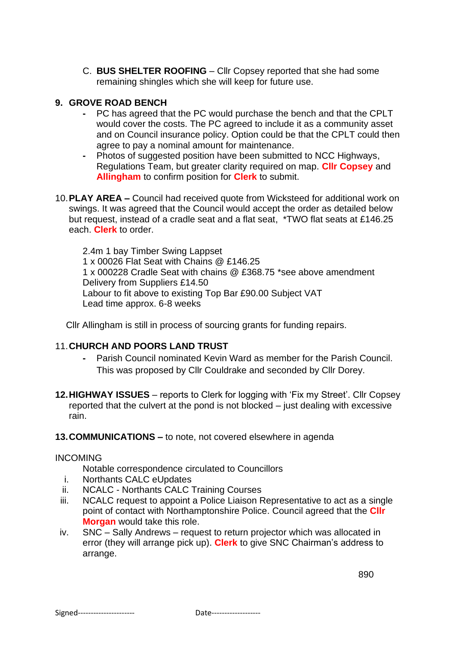C. **BUS SHELTER ROOFING** – Cllr Copsey reported that she had some remaining shingles which she will keep for future use.

### **9. GROVE ROAD BENCH**

- **-** PC has agreed that the PC would purchase the bench and that the CPLT would cover the costs. The PC agreed to include it as a community asset and on Council insurance policy. Option could be that the CPLT could then agree to pay a nominal amount for maintenance.
- **-** Photos of suggested position have been submitted to NCC Highways, Regulations Team, but greater clarity required on map. **Cllr Copsey** and **Allingham** to confirm position for **Clerk** to submit.
- 10.**PLAY AREA –** Council had received quote from Wicksteed for additional work on swings. It was agreed that the Council would accept the order as detailed below but request, instead of a cradle seat and a flat seat, \*TWO flat seats at £146.25 each. **Clerk** to order.

 2.4m 1 bay Timber Swing Lappset 1 x 00026 Flat Seat with Chains @ £146.25 1 x 000228 Cradle Seat with chains @ £368.75 \*see above amendment Delivery from Suppliers £14.50 Labour to fit above to existing Top Bar £90.00 Subject VAT Lead time approx. 6-8 weeks

Cllr Allingham is still in process of sourcing grants for funding repairs.

### 11.**CHURCH AND POORS LAND TRUST**

- **-** Parish Council nominated Kevin Ward as member for the Parish Council. This was proposed by Cllr Couldrake and seconded by Cllr Dorey.
- **12.HIGHWAY ISSUES**  reports to Clerk for logging with 'Fix my Street'. Cllr Copsey reported that the culvert at the pond is not blocked – just dealing with excessive rain.

**13.COMMUNICATIONS –** to note, not covered elsewhere in agenda

#### INCOMING

Notable correspondence circulated to Councillors

- i. Northants CALC eUpdates
- ii. NCALC Northants CALC Training Courses
- iii. NCALC request to appoint a Police Liaison Representative to act as a single point of contact with Northamptonshire Police. Council agreed that the **Cllr Morgan** would take this role.
- iv. SNC Sally Andrews request to return projector which was allocated in error (they will arrange pick up). **Clerk** to give SNC Chairman's address to arrange.

890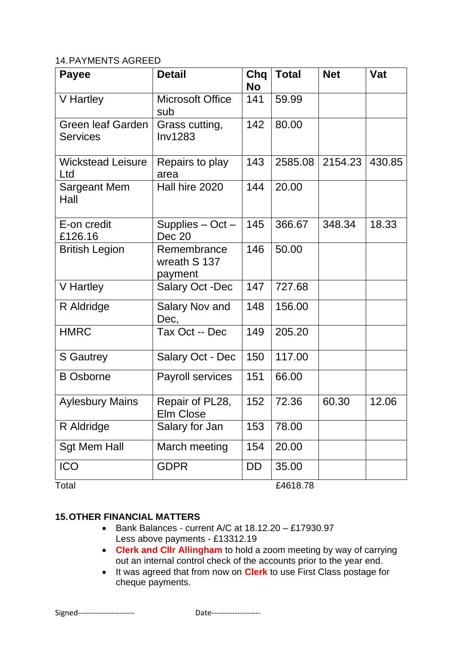### 14.PAYMENTS AGREED

| <b>Payee</b>                                | <b>Detail</b>                          | Chq<br><b>No</b> | <b>Total</b> | <b>Net</b> | Vat    |
|---------------------------------------------|----------------------------------------|------------------|--------------|------------|--------|
| V Hartley                                   | <b>Microsoft Office</b><br>sub         | 141              | 59.99        |            |        |
| <b>Green leaf Garden</b><br><b>Services</b> | Grass cutting,<br><b>Inv1283</b>       | 142              | 80.00        |            |        |
| <b>Wickstead Leisure</b><br>Ltd             | Repairs to play<br>area                | 143              | 2585.08      | 2154.23    | 430.85 |
| Sargeant Mem<br>Hall                        | Hall hire 2020                         | 144              | 20.00        |            |        |
| E-on credit<br>£126.16                      | Supplies $-$ Oct $-$<br>Dec 20         | 145              | 366.67       | 348.34     | 18.33  |
| <b>British Legion</b>                       | Remembrance<br>wreath S 137<br>payment | 146              | 50.00        |            |        |
| V Hartley                                   | <b>Salary Oct -Dec</b>                 | 147              | 727.68       |            |        |
| R Aldridge                                  | Salary Nov and<br>Dec,                 | 148              | 156.00       |            |        |
| <b>HMRC</b>                                 | Tax Oct -- Dec                         | 149              | 205.20       |            |        |
| <b>S</b> Gautrey                            | Salary Oct - Dec                       | 150              | 117.00       |            |        |
| <b>B</b> Osborne                            | Payroll services                       | 151              | 66.00        |            |        |
| <b>Aylesbury Mains</b>                      | Repair of PL28,<br>Elm Close           | 152              | 72.36        | 60.30      | 12.06  |
| R Aldridge                                  | Salary for Jan                         | 153              | 78.00        |            |        |
| <b>Sgt Mem Hall</b>                         | March meeting                          | 154              | 20.00        |            |        |
| <b>ICO</b>                                  | <b>GDPR</b>                            | DD               | 35.00        |            |        |
| Total                                       |                                        |                  | £4618.78     |            |        |

# **15.OTHER FINANCIAL MATTERS**

- Bank Balances current A/C at 18.12.20 £17930.97 Less above payments - £13312.19
- **Clerk and Cllr Allingham** to hold a zoom meeting by way of carrying out an internal control check of the accounts prior to the year end.
- It was agreed that from now on **Clerk** to use First Class postage for cheque payments.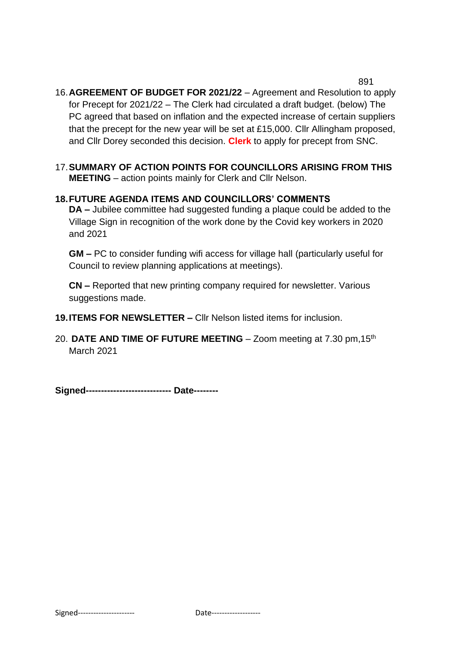891 16.**AGREEMENT OF BUDGET FOR 2021/22** – Agreement and Resolution to apply for Precept for 2021/22 – The Clerk had circulated a draft budget. (below) The PC agreed that based on inflation and the expected increase of certain suppliers that the precept for the new year will be set at £15,000. Cllr Allingham proposed, and Cllr Dorey seconded this decision. **Clerk** to apply for precept from SNC.

17.**SUMMARY OF ACTION POINTS FOR COUNCILLORS ARISING FROM THIS MEETING** – action points mainly for Clerk and Cllr Nelson.

# **18.FUTURE AGENDA ITEMS AND COUNCILLORS' COMMENTS**

**DA –** Jubilee committee had suggested funding a plaque could be added to the Village Sign in recognition of the work done by the Covid key workers in 2020 and 2021

**GM –** PC to consider funding wifi access for village hall (particularly useful for Council to review planning applications at meetings).

**CN –** Reported that new printing company required for newsletter. Various suggestions made.

**19.ITEMS FOR NEWSLETTER –** Cllr Nelson listed items for inclusion.

20. **DATE AND TIME OF FUTURE MEETING** – Zoom meeting at 7.30 pm,15th March 2021

**Signed---------------------------- Date--------**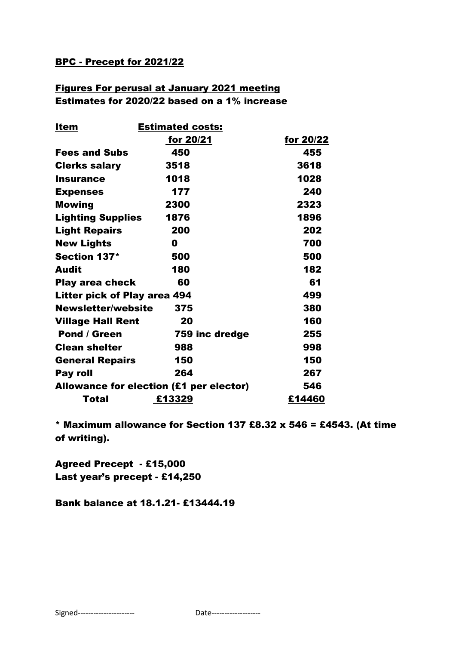## BPC - Precept for 2021/22

# Figures For perusal at January 2021 meeting Estimates for 2020/22 based on a 1% increase

| <u>Item</u>                             | <b>Estimated costs:</b> |           |  |  |
|-----------------------------------------|-------------------------|-----------|--|--|
|                                         | for 20/21               | for 20/22 |  |  |
| <b>Fees and Subs</b>                    | 450                     | 455       |  |  |
| <b>Clerks salary</b>                    | 3518                    | 3618      |  |  |
| <b>Insurance</b>                        | 1018                    | 1028      |  |  |
| <b>Expenses</b>                         | 177                     | 240       |  |  |
| <b>Mowing</b>                           | 2300                    | 2323      |  |  |
| <b>Lighting Supplies</b>                | 1876                    | 1896      |  |  |
| <b>Light Repairs</b>                    | 200                     | 202       |  |  |
| <b>New Lights</b>                       | 0                       | 700       |  |  |
| Section 137*                            | 500                     | 500       |  |  |
| <b>Audit</b>                            | 180                     | 182       |  |  |
| <b>Play area check</b>                  | 60                      | 61        |  |  |
| <b>Litter pick of Play area 494</b>     |                         | 499       |  |  |
| <b>Newsletter/website</b>               | 375                     | 380       |  |  |
| <b>Village Hall Rent</b>                | 20                      | 160       |  |  |
| <b>Pond / Green</b>                     | 759 inc dredge          | 255       |  |  |
| <b>Clean shelter</b>                    | 988                     | 998       |  |  |
| <b>General Repairs</b>                  | 150                     | 150       |  |  |
| Pay roll                                | 264                     | 267       |  |  |
| Allowance for election (£1 per elector) |                         | 546       |  |  |
| Total                                   | £13329                  | £14460    |  |  |

\* Maximum allowance for Section 137 £8.32 x 546 = £4543. (At time of writing).

Agreed Precept - £15,000 Last year's precept - £14,250

Bank balance at 18.1.21- £13444.19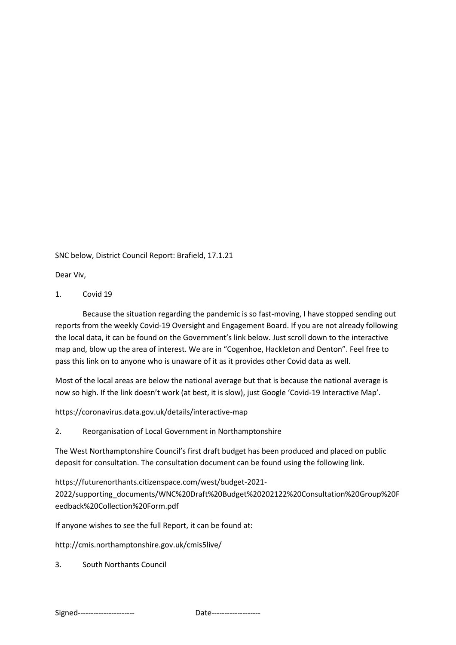SNC below, District Council Report: Brafield, 17.1.21

Dear Viv,

1. Covid 19

Because the situation regarding the pandemic is so fast-moving, I have stopped sending out reports from the weekly Covid-19 Oversight and Engagement Board. If you are not already following the local data, it can be found on the Government's link below. Just scroll down to the interactive map and, blow up the area of interest. We are in "Cogenhoe, Hackleton and Denton". Feel free to pass this link on to anyone who is unaware of it as it provides other Covid data as well.

Most of the local areas are below the national average but that is because the national average is now so high. If the link doesn't work (at best, it is slow), just Google 'Covid-19 Interactive Map'.

https://coronavirus.data.gov.uk/details/interactive-map

2. Reorganisation of Local Government in Northamptonshire

The West Northamptonshire Council's first draft budget has been produced and placed on public deposit for consultation. The consultation document can be found using the following link.

https://futurenorthants.citizenspace.com/west/budget-2021- 2022/supporting\_documents/WNC%20Draft%20Budget%20202122%20Consultation%20Group%20F eedback%20Collection%20Form.pdf

If anyone wishes to see the full Report, it can be found at:

http://cmis.northamptonshire.gov.uk/cmis5live/

3. South Northants Council